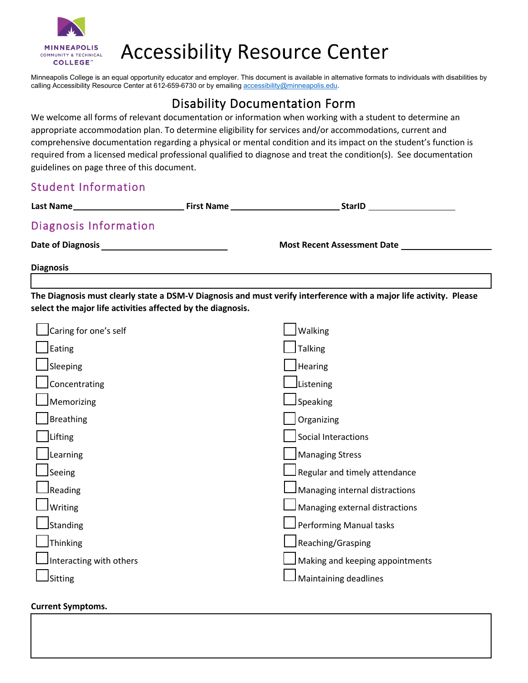

# **Accessibility Resource Center**

Minneapolis College is an equal opportunity educator and employer. This document is available in alternative formats to individuals with disabilities by calling Accessibility Resource Center at 612-659-6730 or by emailing accessibility@minneapolis.edu.

## Disability Documentation Form

 We welcome all forms of relevant documentation or information when working with a student to determine an comprehensive documentation regarding a physical or mental condition and its impact on the student's function is required from a licensed medical professional qualified to diagnose and treat the condition(s). See documentation appropriate accommodation plan. To determine eligibility for services and/or accommodations, current and guidelines on page three of this document.

### Student Information

| Last Name             |                                    |  |
|-----------------------|------------------------------------|--|
| Diagnosis Information |                                    |  |
|                       | <b>Most Recent Assessment Date</b> |  |
| <b>Diagnosis</b>      |                                    |  |
|                       |                                    |  |

 **The Diagnosis must clearly state a DSM-V Diagnosis and must verify interference with a major life activity. Please select the major life activities affected by the diagnosis.** 

| Caring for one's self   | Walking                         |
|-------------------------|---------------------------------|
| Eating                  | <b>Talking</b>                  |
| Sleeping                | <b>Hearing</b>                  |
| Concentrating           | Listening                       |
| Memorizing              | Speaking                        |
| <b>Breathing</b>        | Organizing                      |
| Lifting                 | Social Interactions             |
| Learning                | <b>Managing Stress</b>          |
| Seeing                  | Regular and timely attendance   |
| Reading                 | Managing internal distractions  |
| Writing                 | Managing external distractions  |
| Standing                | Performing Manual tasks         |
| Thinking                | Reaching/Grasping               |
| Interacting with others | Making and keeping appointments |
| Sitting                 | Maintaining deadlines           |

### **Current Symptoms.**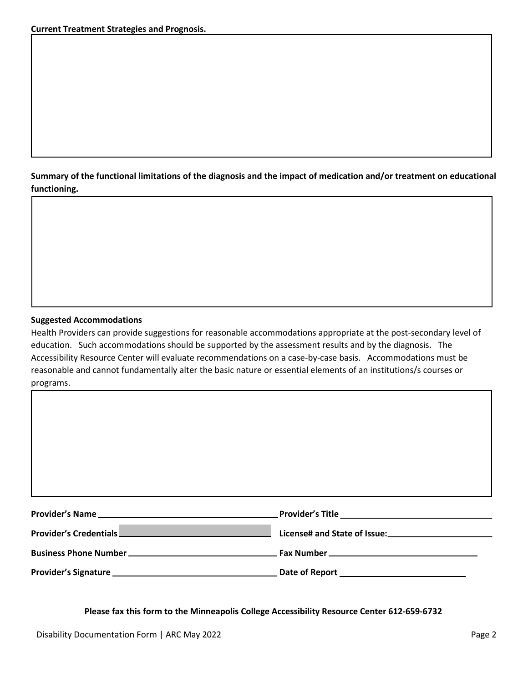**Summary of the functional limitations of the diagnosis and the impact of medication and/or treatment on educational**  functioning.

# **Suggested Accommodations** functioning.<br>**Example 2016**<br>Suggested Accommodations

 education. Such accommodations should be supported by the assessment results and by the diagnosis. The reasonable and cannot fundamentally alter the basic nature or essential elements of an institutions/s courses or Health Providers can provide suggestions for reasonable accommodations appropriate at the post-secondary level of Accessibility Resource Center will evaluate recommendations on a case-by-case basis. Accommodations must be programs.

| Provider's Credentials |  |
|------------------------|--|
|                        |  |
|                        |  |

 **Please fax this form to the Minneapolis College Accessibility Resource Center 612-659-6732**